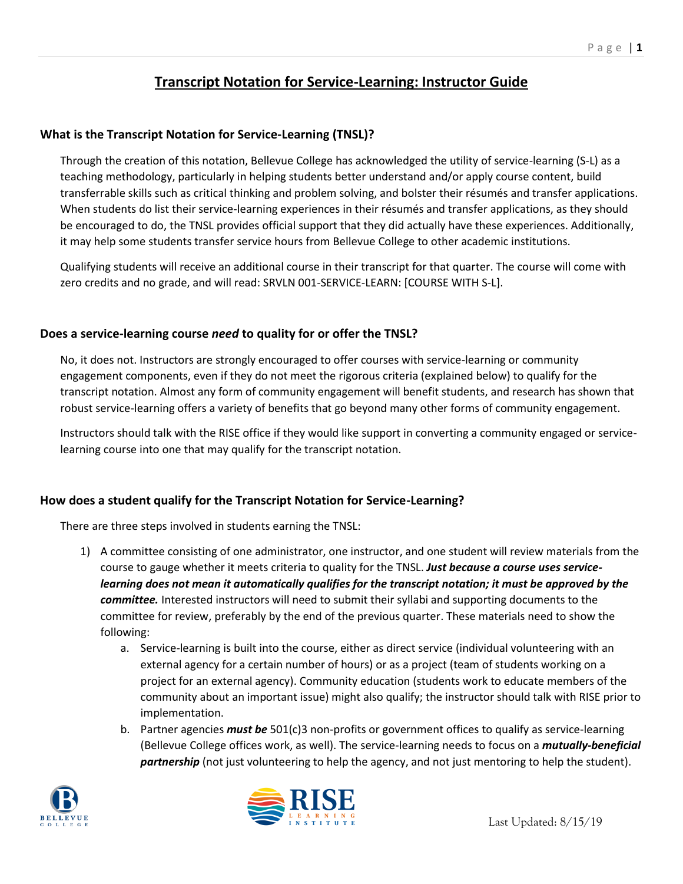# **Transcript Notation for Service-Learning: Instructor Guide**

### **What is the Transcript Notation for Service-Learning (TNSL)?**

Through the creation of this notation, Bellevue College has acknowledged the utility of service-learning (S-L) as a teaching methodology, particularly in helping students better understand and/or apply course content, build transferrable skills such as critical thinking and problem solving, and bolster their résumés and transfer applications. When students do list their service-learning experiences in their résumés and transfer applications, as they should be encouraged to do, the TNSL provides official support that they did actually have these experiences. Additionally, it may help some students transfer service hours from Bellevue College to other academic institutions.

Qualifying students will receive an additional course in their transcript for that quarter. The course will come with zero credits and no grade, and will read: SRVLN 001-SERVICE-LEARN: [COURSE WITH S-L].

#### **Does a service-learning course** *need* **to quality for or offer the TNSL?**

No, it does not. Instructors are strongly encouraged to offer courses with service-learning or community engagement components, even if they do not meet the rigorous criteria (explained below) to qualify for the transcript notation. Almost any form of community engagement will benefit students, and research has shown that robust service-learning offers a variety of benefits that go beyond many other forms of community engagement.

Instructors should talk with the RISE office if they would like support in converting a community engaged or servicelearning course into one that may qualify for the transcript notation.

#### **How does a student qualify for the Transcript Notation for Service-Learning?**

There are three steps involved in students earning the TNSL:

- 1) A committee consisting of one administrator, one instructor, and one student will review materials from the course to gauge whether it meets criteria to quality for the TNSL. *Just because a course uses servicelearning does not mean it automatically qualifies for the transcript notation; it must be approved by the committee.* Interested instructors will need to submit their syllabi and supporting documents to the committee for review, preferably by the end of the previous quarter. These materials need to show the following:
	- a. Service-learning is built into the course, either as direct service (individual volunteering with an external agency for a certain number of hours) or as a project (team of students working on a project for an external agency). Community education (students work to educate members of the community about an important issue) might also qualify; the instructor should talk with RISE prior to implementation.
	- b. Partner agencies *must be* 501(c)3 non-profits or government offices to qualify as service-learning (Bellevue College offices work, as well). The service-learning needs to focus on a *mutually-beneficial partnership* (not just volunteering to help the agency, and not just mentoring to help the student).



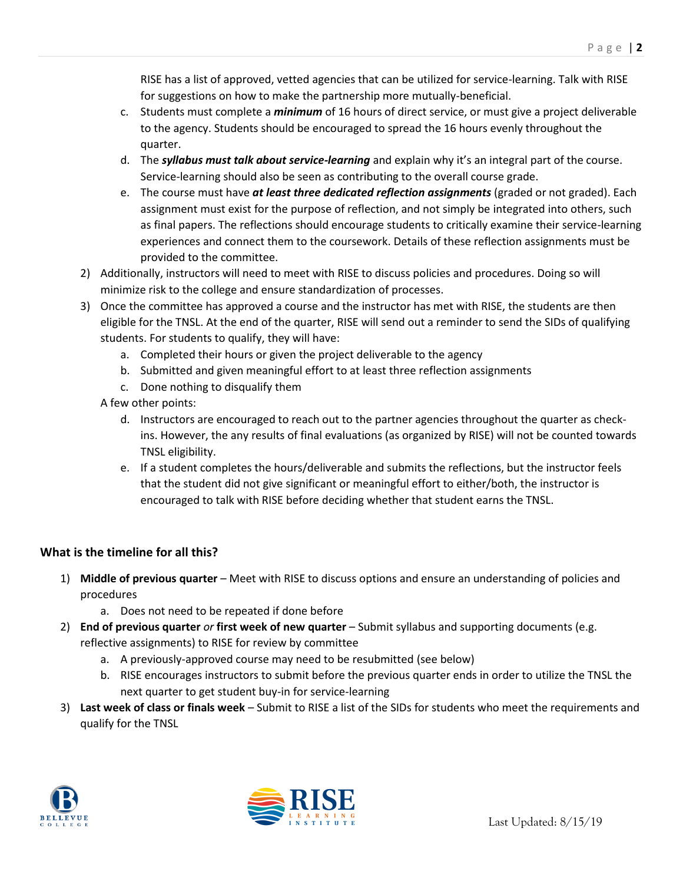RISE has a list of approved, vetted agencies that can be utilized for service-learning. Talk with RISE for suggestions on how to make the partnership more mutually-beneficial.

- c. Students must complete a *minimum* of 16 hours of direct service, or must give a project deliverable to the agency. Students should be encouraged to spread the 16 hours evenly throughout the quarter.
- d. The *syllabus must talk about service-learning* and explain why it's an integral part of the course. Service-learning should also be seen as contributing to the overall course grade.
- e. The course must have *at least three dedicated reflection assignments* (graded or not graded). Each assignment must exist for the purpose of reflection, and not simply be integrated into others, such as final papers. The reflections should encourage students to critically examine their service-learning experiences and connect them to the coursework. Details of these reflection assignments must be provided to the committee.
- 2) Additionally, instructors will need to meet with RISE to discuss policies and procedures. Doing so will minimize risk to the college and ensure standardization of processes.
- 3) Once the committee has approved a course and the instructor has met with RISE, the students are then eligible for the TNSL. At the end of the quarter, RISE will send out a reminder to send the SIDs of qualifying students. For students to qualify, they will have:
	- a. Completed their hours or given the project deliverable to the agency
	- b. Submitted and given meaningful effort to at least three reflection assignments
	- c. Done nothing to disqualify them
	- A few other points:
		- d. Instructors are encouraged to reach out to the partner agencies throughout the quarter as checkins. However, the any results of final evaluations (as organized by RISE) will not be counted towards TNSL eligibility.
		- e. If a student completes the hours/deliverable and submits the reflections, but the instructor feels that the student did not give significant or meaningful effort to either/both, the instructor is encouraged to talk with RISE before deciding whether that student earns the TNSL.

## **What is the timeline for all this?**

- 1) **Middle of previous quarter**  Meet with RISE to discuss options and ensure an understanding of policies and procedures
	- a. Does not need to be repeated if done before
- 2) **End of previous quarter** *or* **first week of new quarter**  Submit syllabus and supporting documents (e.g. reflective assignments) to RISE for review by committee
	- a. A previously-approved course may need to be resubmitted (see below)
	- b. RISE encourages instructors to submit before the previous quarter ends in order to utilize the TNSL the next quarter to get student buy-in for service-learning
- 3) **Last week of class or finals week** Submit to RISE a list of the SIDs for students who meet the requirements and qualify for the TNSL



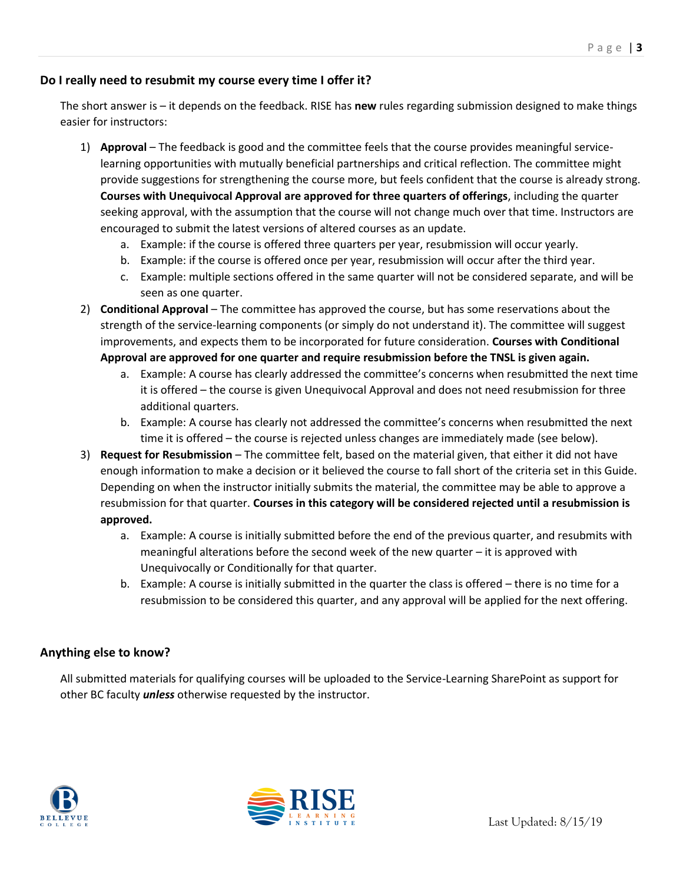#### **Do I really need to resubmit my course every time I offer it?**

The short answer is – it depends on the feedback. RISE has **new** rules regarding submission designed to make things easier for instructors:

- 1) **Approval** The feedback is good and the committee feels that the course provides meaningful servicelearning opportunities with mutually beneficial partnerships and critical reflection. The committee might provide suggestions for strengthening the course more, but feels confident that the course is already strong. **Courses with Unequivocal Approval are approved for three quarters of offerings**, including the quarter seeking approval, with the assumption that the course will not change much over that time. Instructors are encouraged to submit the latest versions of altered courses as an update.
	- a. Example: if the course is offered three quarters per year, resubmission will occur yearly.
	- b. Example: if the course is offered once per year, resubmission will occur after the third year.
	- c. Example: multiple sections offered in the same quarter will not be considered separate, and will be seen as one quarter.
- 2) **Conditional Approval** The committee has approved the course, but has some reservations about the strength of the service-learning components (or simply do not understand it). The committee will suggest improvements, and expects them to be incorporated for future consideration. **Courses with Conditional Approval are approved for one quarter and require resubmission before the TNSL is given again.**
	- a. Example: A course has clearly addressed the committee's concerns when resubmitted the next time it is offered – the course is given Unequivocal Approval and does not need resubmission for three additional quarters.
	- b. Example: A course has clearly not addressed the committee's concerns when resubmitted the next time it is offered – the course is rejected unless changes are immediately made (see below).
- 3) **Request for Resubmission** The committee felt, based on the material given, that either it did not have enough information to make a decision or it believed the course to fall short of the criteria set in this Guide. Depending on when the instructor initially submits the material, the committee may be able to approve a resubmission for that quarter. **Courses in this category will be considered rejected until a resubmission is approved.** 
	- a. Example: A course is initially submitted before the end of the previous quarter, and resubmits with meaningful alterations before the second week of the new quarter – it is approved with Unequivocally or Conditionally for that quarter.
	- b. Example: A course is initially submitted in the quarter the class is offered there is no time for a resubmission to be considered this quarter, and any approval will be applied for the next offering.

#### **Anything else to know?**

All submitted materials for qualifying courses will be uploaded to the Service-Learning SharePoint as support for other BC faculty *unless* otherwise requested by the instructor.